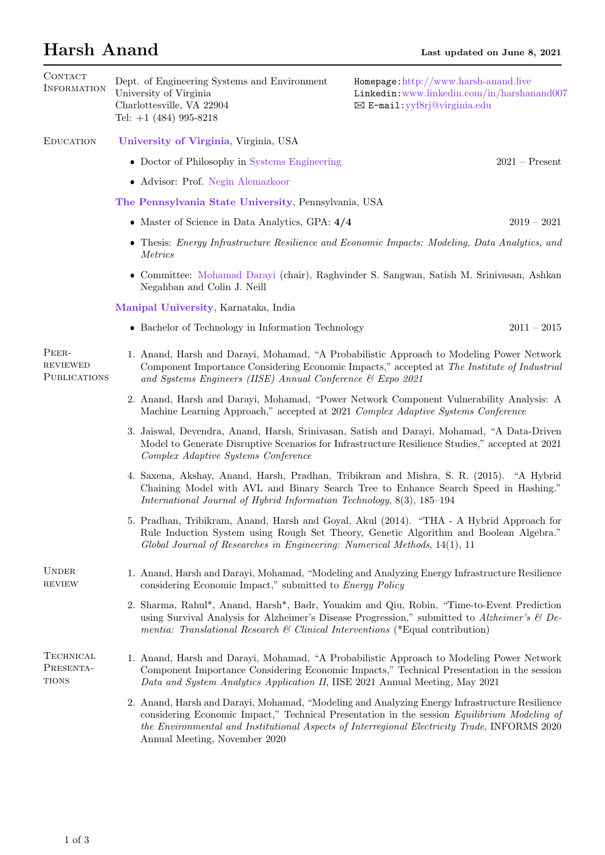## Harsh Anand Last updated on June 8, 2021

| CONTACT<br><b>INFORMATION</b>                   |                                                                                                                                                                             | Dept. of Engineering Systems and Environment<br>University of Virginia<br>Charlottesville, VA 22904<br>Tel: $+1$ (484) 995-8218                                                                                                                                       | Homepage: http://www.harsh-anand.live<br>Linkedin:www.linkedin.com/in/harshanand007<br>⊠ E-mail: yyf8rj@virginia.edu                                                                                                                                                                         |  |  |  |
|-------------------------------------------------|-----------------------------------------------------------------------------------------------------------------------------------------------------------------------------|-----------------------------------------------------------------------------------------------------------------------------------------------------------------------------------------------------------------------------------------------------------------------|----------------------------------------------------------------------------------------------------------------------------------------------------------------------------------------------------------------------------------------------------------------------------------------------|--|--|--|
| <b>EDUCATION</b>                                |                                                                                                                                                                             | University of Virginia, Virginia, USA                                                                                                                                                                                                                                 |                                                                                                                                                                                                                                                                                              |  |  |  |
|                                                 |                                                                                                                                                                             | • Doctor of Philosophy in Systems Engineering                                                                                                                                                                                                                         | $2021 -$ Present                                                                                                                                                                                                                                                                             |  |  |  |
|                                                 |                                                                                                                                                                             | • Advisor: Prof. Negin Alemazkoor                                                                                                                                                                                                                                     |                                                                                                                                                                                                                                                                                              |  |  |  |
|                                                 |                                                                                                                                                                             | The Pennsylvania State University, Pennsylvania, USA                                                                                                                                                                                                                  |                                                                                                                                                                                                                                                                                              |  |  |  |
|                                                 |                                                                                                                                                                             | • Master of Science in Data Analytics, GPA: $4/4$                                                                                                                                                                                                                     | $2019 - 2021$                                                                                                                                                                                                                                                                                |  |  |  |
|                                                 |                                                                                                                                                                             | • Thesis: Energy Infrastructure Resilience and Economic Impacts: Modeling, Data Analytics, and<br>Metrics                                                                                                                                                             |                                                                                                                                                                                                                                                                                              |  |  |  |
|                                                 | • Committee: Mohamad Darayi (chair), Raghvinder S. Sangwan, Satish M. Srinivasan, Ashkan<br>Negahban and Colin J. Neill                                                     |                                                                                                                                                                                                                                                                       |                                                                                                                                                                                                                                                                                              |  |  |  |
|                                                 | Manipal University, Karnataka, India                                                                                                                                        |                                                                                                                                                                                                                                                                       |                                                                                                                                                                                                                                                                                              |  |  |  |
|                                                 |                                                                                                                                                                             | • Bachelor of Technology in Information Technology                                                                                                                                                                                                                    | $2011 - 2015$                                                                                                                                                                                                                                                                                |  |  |  |
| PEER-<br><b>REVIEWED</b><br><b>PUBLICATIONS</b> |                                                                                                                                                                             | 1. Anand, Harsh and Darayi, Mohamad, "A Probabilistic Approach to Modeling Power Network<br>Component Importance Considering Economic Impacts," accepted at The Institute of Industrial<br>and Systems Engineers (IISE) Annual Conference $\mathcal C$ Expo 2021      |                                                                                                                                                                                                                                                                                              |  |  |  |
|                                                 | 2. Anand, Harsh and Darayi, Mohamad, "Power Network Component Vulnerability Analysis: A<br>Machine Learning Approach," accepted at 2021 Complex Adaptive Systems Conference |                                                                                                                                                                                                                                                                       |                                                                                                                                                                                                                                                                                              |  |  |  |
|                                                 |                                                                                                                                                                             | 3. Jaiswal, Devendra, Anand, Harsh, Srinivasan, Satish and Darayi, Mohamad, "A Data-Driven<br>Model to Generate Disruptive Scenarios for Infrastructure Resilience Studies," accepted at 2021<br>Complex Adaptive Systems Conference                                  |                                                                                                                                                                                                                                                                                              |  |  |  |
|                                                 |                                                                                                                                                                             | International Journal of Hybrid Information Technology, 8(3), 185-194                                                                                                                                                                                                 | 4. Saxena, Akshay, Anand, Harsh, Pradhan, Tribikram and Mishra, S. R. (2015). "A Hybrid<br>Chaining Model with AVL and Binary Search Tree to Enhance Search Speed in Hashing."                                                                                                               |  |  |  |
|                                                 |                                                                                                                                                                             | Global Journal of Researches in Engineering: Numerical Methods, 14(1), 11                                                                                                                                                                                             | 5. Pradhan, Tribikram, Anand, Harsh and Goyal, Akul (2014). "THA - A Hybrid Approach for<br>Rule Induction System using Rough Set Theory, Genetic Algorithm and Boolean Algebra."                                                                                                            |  |  |  |
| <b>UNDER</b><br><b>REVIEW</b>                   |                                                                                                                                                                             | considering Economic Impact," submitted to Energy Policy                                                                                                                                                                                                              | 1. Anand, Harsh and Darayi, Mohamad, "Modeling and Analyzing Energy Infrastructure Resilience                                                                                                                                                                                                |  |  |  |
|                                                 |                                                                                                                                                                             | mentia: Translational Research & Clinical Interventions (*Equal contribution)                                                                                                                                                                                         | 2. Sharma, Rahul*, Anand, Harsh*, Badr, Youakim and Qiu, Robin, "Time-to-Event Prediction<br>using Survival Analysis for Alzheimer's Disease Progression," submitted to Alzheimer's $\mathcal B$ De-                                                                                         |  |  |  |
| <b>TECHNICAL</b><br>PRESENTA-<br><b>TIONS</b>   |                                                                                                                                                                             | 1. Anand, Harsh and Darayi, Mohamad, "A Probabilistic Approach to Modeling Power Network<br>Component Importance Considering Economic Impacts," Technical Presentation in the session<br>Data and System Analytics Application II, IISE 2021 Annual Meeting, May 2021 |                                                                                                                                                                                                                                                                                              |  |  |  |
|                                                 |                                                                                                                                                                             | Annual Meeting, November 2020                                                                                                                                                                                                                                         | 2. Anand, Harsh and Darayi, Mohamad, "Modeling and Analyzing Energy Infrastructure Resilience<br>considering Economic Impact," Technical Presentation in the session Equilibrium Modeling of<br>the Environmental and Institutional Aspects of Interregional Electricity Trade, INFORMS 2020 |  |  |  |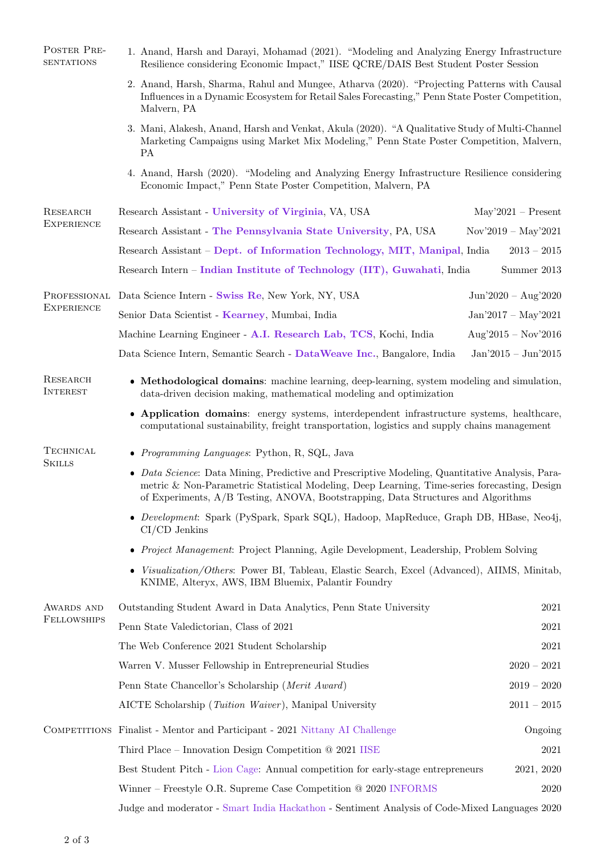| POSTER PRE-<br><b>SENTATIONS</b> | 1. Anand, Harsh and Darayi, Mohamad (2021). "Modeling and Analyzing Energy Infrastructure<br>Resilience considering Economic Impact," IISE QCRE/DAIS Best Student Poster Session                                                                                                     |                       |  |  |  |  |
|----------------------------------|--------------------------------------------------------------------------------------------------------------------------------------------------------------------------------------------------------------------------------------------------------------------------------------|-----------------------|--|--|--|--|
|                                  | 2. Anand, Harsh, Sharma, Rahul and Mungee, Atharva (2020). "Projecting Patterns with Causal<br>Influences in a Dynamic Ecosystem for Retail Sales Forecasting," Penn State Poster Competition,<br>Malvern, PA                                                                        |                       |  |  |  |  |
|                                  | 3. Mani, Alakesh, Anand, Harsh and Venkat, Akula (2020). "A Qualitative Study of Multi-Channel<br>Marketing Campaigns using Market Mix Modeling," Penn State Poster Competition, Malvern,<br>PA                                                                                      |                       |  |  |  |  |
|                                  | 4. Anand, Harsh (2020). "Modeling and Analyzing Energy Infrastructure Resilience considering<br>Economic Impact," Penn State Poster Competition, Malvern, PA                                                                                                                         |                       |  |  |  |  |
| RESEARCH<br><b>EXPERIENCE</b>    | Research Assistant - University of Virginia, VA, USA                                                                                                                                                                                                                                 | $May'2021 - Present$  |  |  |  |  |
|                                  | Research Assistant - The Pennsylvania State University, PA, USA                                                                                                                                                                                                                      | Nov'2019 – May'2021   |  |  |  |  |
|                                  | Research Assistant – Dept. of Information Technology, MIT, Manipal, India                                                                                                                                                                                                            | $2013 - 2015$         |  |  |  |  |
|                                  | Research Intern – Indian Institute of Technology (IIT), Guwahati, India                                                                                                                                                                                                              | Summer 2013           |  |  |  |  |
| PROFESSIONAL                     | Data Science Intern - Swiss Re, New York, NY, USA                                                                                                                                                                                                                                    | $Jun'2020 - Aug'2020$ |  |  |  |  |
| <b>EXPERIENCE</b>                | Senior Data Scientist - Kearney, Mumbai, India                                                                                                                                                                                                                                       | $Jan'2017 - May'2021$ |  |  |  |  |
|                                  | Machine Learning Engineer - A.I. Research Lab, TCS, Kochi, India                                                                                                                                                                                                                     | $Aug'2015 - Nov'2016$ |  |  |  |  |
|                                  | Data Science Intern, Semantic Search - Data Weave Inc., Bangalore, India                                                                                                                                                                                                             | $Jan'2015 - Jun'2015$ |  |  |  |  |
| RESEARCH<br><b>INTEREST</b>      | • Methodological domains: machine learning, deep-learning, system modeling and simulation,<br>data-driven decision making, mathematical modeling and optimization                                                                                                                    |                       |  |  |  |  |
|                                  | • Application domains: energy systems, interdependent infrastructure systems, healthcare,<br>computational sustainability, freight transportation, logistics and supply chains management                                                                                            |                       |  |  |  |  |
| <b>TECHNICAL</b>                 | • Programming Languages: Python, R, SQL, Java                                                                                                                                                                                                                                        |                       |  |  |  |  |
| <b>SKILLS</b>                    | • Data Science: Data Mining, Predictive and Prescriptive Modeling, Quantitative Analysis, Para-<br>metric & Non-Parametric Statistical Modeling, Deep Learning, Time-series forecasting, Design<br>of Experiments, A/B Testing, ANOVA, Bootstrapping, Data Structures and Algorithms |                       |  |  |  |  |
|                                  | • Development: Spark (PySpark, Spark SQL), Hadoop, MapReduce, Graph DB, HBase, Neo4j,<br>$CI/CD$ Jenkins                                                                                                                                                                             |                       |  |  |  |  |
|                                  | • Project Management: Project Planning, Agile Development, Leadership, Problem Solving                                                                                                                                                                                               |                       |  |  |  |  |
|                                  | • Visualization/Others: Power BI, Tableau, Elastic Search, Excel (Advanced), AIIMS, Minitab,<br>KNIME, Alteryx, AWS, IBM Bluemix, Palantir Foundry                                                                                                                                   |                       |  |  |  |  |
| AWARDS AND                       | Outstanding Student Award in Data Analytics, Penn State University                                                                                                                                                                                                                   | 2021                  |  |  |  |  |
| <b>FELLOWSHIPS</b>               | Penn State Valedictorian, Class of 2021                                                                                                                                                                                                                                              | 2021                  |  |  |  |  |
|                                  | The Web Conference 2021 Student Scholarship<br>2021                                                                                                                                                                                                                                  |                       |  |  |  |  |
|                                  | Warren V. Musser Fellowship in Entrepreneurial Studies                                                                                                                                                                                                                               | $2020 - 2021$         |  |  |  |  |
|                                  | Penn State Chancellor's Scholarship (Merit Award)                                                                                                                                                                                                                                    |                       |  |  |  |  |
|                                  | AICTE Scholarship (Tuition Waiver), Manipal University                                                                                                                                                                                                                               | $2011 - 2015$         |  |  |  |  |
|                                  | COMPETITIONS Finalist - Mentor and Participant - 2021 Nittany AI Challenge                                                                                                                                                                                                           | Ongoing               |  |  |  |  |
|                                  | Third Place – Innovation Design Competition $@$ 2021 IISE                                                                                                                                                                                                                            | 2021                  |  |  |  |  |
|                                  | Best Student Pitch - Lion Cage: Annual competition for early-stage entrepreneurs                                                                                                                                                                                                     | 2021, 2020            |  |  |  |  |
|                                  | Winner – Freestyle O.R. Supreme Case Competition $@2020$ INFORMS                                                                                                                                                                                                                     | 2020                  |  |  |  |  |

Judge and moderator - [Smart India Hackathon](https://www.sih.gov.in/) - Sentiment Analysis of Code-Mixed Languages 2020